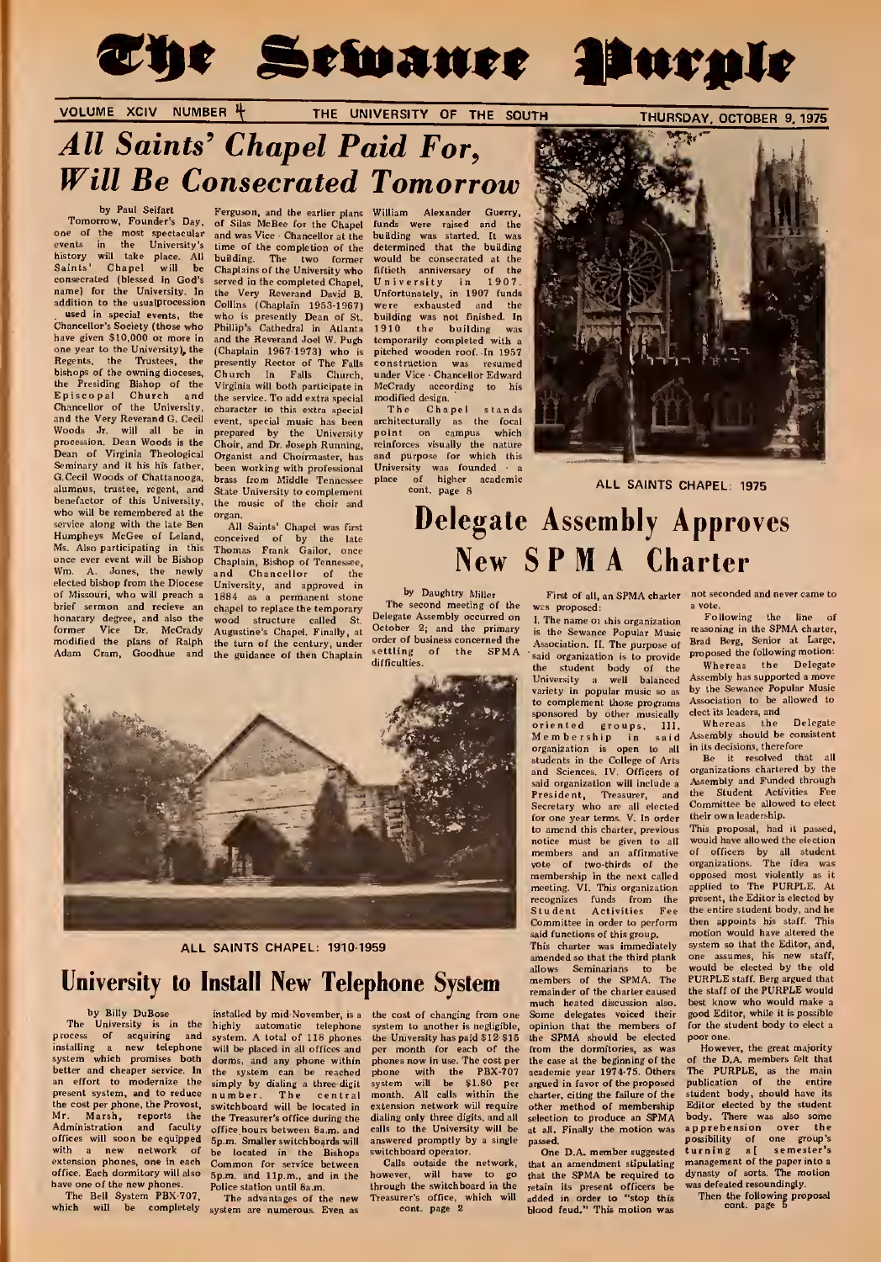

### VOLUME XCIV NUMBER 4 THE UNIVERSITY OF THE SOUTH

THURSDAY, OCTOBER 9, 1975

# All Saints' Chapel Paid For, Will Be Consecrated Tomorrow

one of the most spectacular and was Viewents in the University's time of thistory will take place. All building.<br>Saints' Chapel will be Chaplains.<br>Saints' Chapel will be Chaplains.<br>consecrated (blessed in God's served in t

used in special events, the<br>Chancellor's Society (those who<br>have given \$10,000 or more in Regents, the Trustees, the bishops of the owning dioceses, the Presiding Bishop of the Virgini<br>Episcopal Church and the-ser<br>Chancellor of the University, charact Dean of Virginia Theological Organist and Choirmaster, has<br>Seminary and it his his father, been working with professional<br>G.Cecil Woods of Chattanooga, brace from Middle Teamerses G.Cecil Woods of Chattanooga, brass from Middle Tennessee<br>alumnus, trustee, regent, and State University to complement alumnus, trustee, regent, and State University to complement<br>benefactor of this University, the music of the choir and who will be remembered at the organ. service along with the late Ben<br>Humpheys McGee of Leland, Ms. Also participating in this Wm. A. Jones, the newly elected bishop from the Diocese of Missouri, who will preach <sup>a</sup> brief sermon and recieve an honarary degree, and also the wood structu<br>former Vice Dr. McCrady Augustine's Ch<br>modified the plans of Ralph the turn of the<br>Adam Cram, Goodhue and the guidance o

by Paul Seifart Ferguson, and the earli<br>Tomorrow, Founder's Day, of Silas McBee for the of Silas McBee for the Chapel funds were raised and the and was Vice Chancellor at the building was started. It was building. The two former would be consecrated at the Chaplains of the University who served in the completed Chapel, time of the completion of the Chancellor's Society (those who Phillip's Cathedral in Atlanta 1 have given \$10,000 or more in and the Reverand Joel w. Pugh temporarity completed with a<br>one year to the University), the (Chaplain 1967-1973) who is pitched wooden roof. In 1957<br>Regents, the Trustees, the presently Rector (Chaplain 1967-1973) who is<br>presently Rector of The Falls Church in Falls Church, Virginia will both participate in the service. To add extra special character to this extra special<br>event, special music has been and the Very Reverand G. Cecil event, special music has been architecturally as the fo<br>Woods Jr. will all be in prepared by the University point on campus wh procession. Dean Woods is the Choir, and Dr. Joseph Running, reinforces visually the nature<br>Dean of Virginia Theological Organist and Choirmaster, has and purpose for which this the music of the choir and

Ms. Also participating in this Thomas Frank Gailor, once<br>once ever event will be Bishop Chaplain, Bishop of Tennessee, All Saints' Chapel was first newly and Chancellor of the the town and the store of the store of the town of the store of the store of the store of the store of the store of the store of the store of the store of the store of the store of the store of Wood structure called St. October 2; and the primary is the Sewance Popular Music<br>the turn of the century, under order of business concerned the Association. II. The purpose of<br>the turn of the century, under the guidance of then Chaplain

William Alexander Guerry, building was started. It determined that the building fiftieth anniversary of the<br>University in 1907. University in 1907.<br>Unfortunately, in 1907 funds name) for the University. In the Very Reverand David B. Unfortunately, in 1907 funds<br>addition to the usualprocession Collins (Chaplain 1953-1967) were exhausted and the presently Dean of St. building was not finished. In 1819 Cathedral in Atlanta 1910 the building was temporarily completed with McCrady according to his<br>modified design.<br>The Chapel stands pitched wooden roof. In 1957 under Vice - Chancellor Edward

and purpose to working that the contract of higher academic<br>place of higher academic<br>cont, page 8 ALL SAINTS CHAPEL: 1975



# Delegate Assembly Approves New <sup>S</sup> P M A Charter

place the temporary The second meeting of the we<br>eture called St. Delegate Assembly occurred on 1. order of business concerned the<br>settling of the SPMA difficulties.



### ALL SAINTS CHAPEL: 1910-1959

# University to Install New Telephone System **Examples System Examples** of the SPMA. The **PMA** Telephone System **Examples** of the SPMA. The properties and the contract counter of the charge of the contract of the charge of

by Billy DuBose The University is in the process of acquiring and installing a new telephone will be-placed-in-all-offic<br>system which promises both dorms, and any phone an effort to modernize the

In the system can be n<br><sup>he</sup> simply by dialing a thre installed by mid-November, is a highly automatic telepho system. A total of 118 phon will be placed in all offices and<br>dorms, and any phone within present system, and to reduce number. The central<br>the cost per phone, the Provost, switchboard will be located in the cost per phone, the Provost, switchboard will be located in extension network will require of<br>Mr. Marsh, reports the the Treasurer's office during the dialing only three digits, and all se Administration and faculty of the during the disling only three digits, and all selection to produce an SPMA<br>the University and all to the University will be at all. Finally the motion was<br>foun. Smaller switchboards will a offices will soon be equipped 5p.m. Smaller switchboards will answered promptly by a single portion as the located in the Bishops switchboard operator.

phones now in use. The cost per ached phone with the PBX-<br>-digit system will be \$1.80

wes proposed: a vote.<br>
1. The name of this organization Following the

Association. II. The purpose of Brad Berg, Senior at Large<br>Said organization is to provide Proposed the following motion: said organization is to provide proposed the following motion:<br>the student body of the Whereas the Delegate the student body of the Whereas the Delegate University <sup>a</sup> well balanced Assembly has supported <sup>a</sup> move University a well balanced essembly has supported a move<br>variety in popular music so as by the Sewanee Popular Music<br>to complement those programs. Association to be allowed to to complement those programs f<br>sponsored by other musically c oriented groups, 111, Whereas the Delegate materials organization is open to all inits decisions, therefore the organization is open to all inits decisions, therefore the college of Arts. Be it resolved that all students i said organization will include a Assembly and Funded through Secretary who are all elected Committee be allowed to elect for one year terms. V. In order their own leadership. recognizes funds from the present, the Editor is elected by<br>Student Activities Fee the entire student body, and he<br>Committee in order to perform then appoints his staff. This Committee in order to perform<br>said functions of this group.

the University has paid \$12-\$15 the SPMA should be elected poor one.<br>per month for each of the from the dormitories, as was Howev from the dormitories, as was the case at the beginning of the academic year 1974-75. Others charter, citing the failure of the student body, should have its<br>other method of membership Editor elected by the student<br>selection to produce an SPMA body. There was also some at all. Finally the motion was

with a new network of the located in the Biabopa switchboord operator.  $\overline{ }$  One D.A. member suggested of the network, that an amendment stipulating of<br>fore. Each common for service between Calls outside the network, th One D.A. member suggested office. Each dominicary will also Sommand 11 p.m. a-methoden however, will have to ge that the SPMA be required to get the Control of the control of the Control of the Control of the Control of the Control of the control o

First of all, an SPMA charter not seconded and never came to

1. The name 01 this organization Following the line of reasoning in the SPMA charter,<br>Brad Berg, Senior at Large,

Assembly should be consistent<br>in its decisions, therefore

the Student Activities Fee<br>Committee be allowed to elect

to amend this charter, previous This proposal, had it passed, members and an affirmative of the control of the specific system of the specific system of the specific system of the specific system of the specific system of motion would have altered the<br>system so that the Editor, and This charter was immediately system so that the Editor, and,<br>amended so that the third plank one assumes, his new staff, lows Seminarians to be would be elected by the old<br>embers of the SPMA. The PURPLE staff. Berg argued that<br>mainder of the charter caused the staff of the PURPLE would best know who would make a good Editor, while it is possible f changing from one Some delegates voiced their good Editor, while it is possible<br>another is negligible, opinion that the members of for the student body to elect a

> from the dormitories, as was However, the great majority<br>te case at the beginning of the C of the DA, members felt that<br>cademic year 1974-75. Others The PURPLE, as the main<br>gued in favor of the proposed publication of the sibility of or<br>·ning a[ s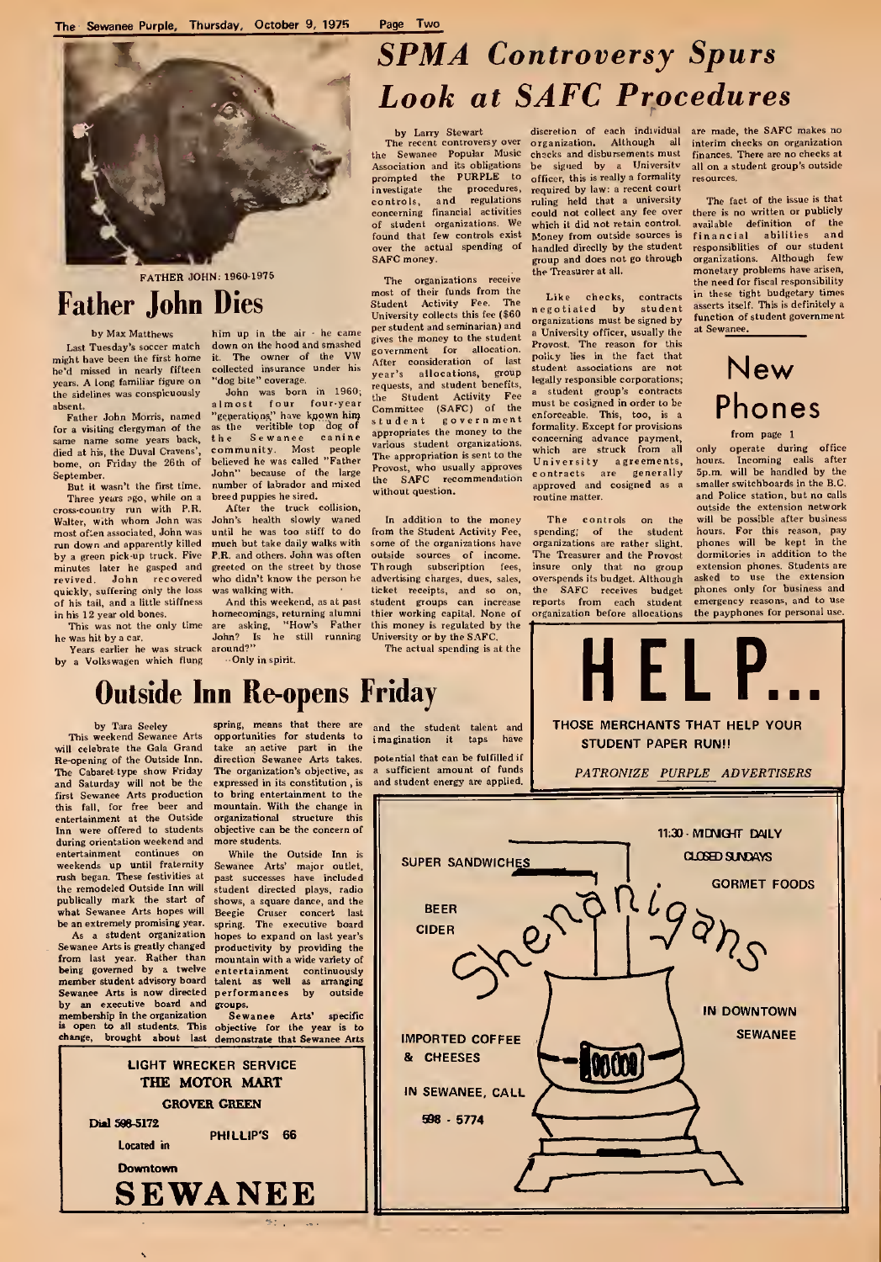

FATHER JOHN: 1960-1975

### Father John Dies

### by Max Matthews

Last Tuesday's soccer match might have been the first home he'd missed in nearly fifteen collected insurance<br>he'd missed in nearly fifteen collected insurance the sidelines was conspicuously

Father John Morris, named for a visiting clergyman of the same name some years back, the<br>died at his, the Duval Cravens', co home, on Friday the 26th of September. premote:<br>But it ween't the first time.

Three years ago, while on a bre<br>cross-country run with P.R.<br>Walter, with whom John was Joh most often associated, John was run down and apparently killed m<br>by a green pick-up truck. Five P. minutes later he gasped and revived. John recovered quickly, suffering only the loss of his tail, and a little stiffness<br>in his 12 year old bones.

Years earlier he was struck around?" by a Volkswagen which flung

him up in the air - he can down on the hood and smashed gives the money to the student it. The owner of the VW gover<br>collected insurance under his

years. A long familiar figure on "dog bite" coverage.<br>
the sidelines was conspicuously John was born in 1960;<br>
the sidelines was conspicuously John was born in 1960;<br>
Father John Morris, named "generations" howe kanown him community. Most people <sup>val</sup><br>believed he was called "Father John" because of the large number of labrador and mixed breed puppies he sired.

After the truck collision,<br>John's health slowly waned In<br>until he was too stiff to do from t much but take daily walks with P.R. and others. John was often greeted on the street by those<br>who didn't know the person he who didn't know the person he advertising charges, dues, sale

12 year old bones. homecomings, returning alumni thier working capital. None of (<br>is was not the only time are asking, "How's Father this money is regulated by the<br>shit by a car. John? Is he still running University or by  $-$ Only in spirit.

## SPMA Controversy Spurs Look at SAFC Procedures

by Larry Stewart discretion of each individual<br>The recent controversy over organization. Although all found that few controls exist<br>over the actual spending of<br>SAFC money.

The organizations receive most of their funds from the Student Activity Fee. The University collects this fee (\$60 per student and seminarian) and gives the money to the student government for allocation. The policy lies<br>different considerations, group student a<br>year's allocations, group student a<br>requests, and student benefits, legally resp the Student Activity Fee and Student Activity Fee and Student Student Student Student Student Studen<br>Committee (SAFC) of the mi appropriates the money to the " various student organizations, The appropriation is sent to the Provost, who the SAFC without question.

In addition to the money from the Student Activity Fee, some of the organizations have le sources of income. The Treasure was walking with. ticket receipts, and so on<br>And this weekend, as at past student groups can increase The actual spending is at the

The recent controversy over organization, Although all interest controversy over organization, Although all interest of the Sewanee Popular Music checks and disbursements must fir Inc. Sewarier Toplant and its obligations be signed by a University<br>Association and its obligations be signed by a University  $of$  ficer, this is really a formality resources. required by law: a recent court ruling held that a university<br>could not collect any fee over investigate the procedures, required by law: a recent court<br>controls, and regulations ruling held that a university<br>concerning financial activities could not collect any fee over<br>of student organizations. We which it did n concerning interest about the control of student organizations. We which it did not retain control.<br>found that few controls exist Money from outside sources is handled direclly by the student group and does not go through the Treasurer at all.

> Like checks, c stude organizations must be signed by a University officer, usually the Provost. The reason for this lies in the fact that student associations are not legally responsible corporations; a student group's contracts must be cosigned in order to be enforceable. This, too, is a formality. Except for concerning advance payment,<br>which are struck from all Universi contracts are generally 5<br>approved and cosigned as a si

the the student organizations are rather slight. The Treasurer and the Provost ees, insure only that no group lies, overspends its budget. Although orespends is obuget phones only for business and<br>the SAFC receives budget phones only for business and<br>reports from each student emergency reasons, and to use reports from each student emergency reasons, and to use<br>organization before allocations the payphones for personal use.

> THOSE MERCHANTS THAT HELP YOUR STUDENT PAPER RUNIL PATRONIZE PURPLE ADVERTISERS

are made, the SAFC makes no interim checks on organization finances. There are no checks at all on <sup>a</sup> student group's outside

The fact of the issue is that there is no written or publicly<br>available definition of the<br>financial abilities and<br>responsiblities of our student<br>organizations. Although few monetary problems have arisen, the need for fiscal responsibility in these tight budgetary times asserts itself. This is definitely a function of student government at Sewanee.

### New Phones

#### from page <sup>1</sup>

operate during office only hours. Incoming calls after 5p.m. will be handled by the smaller switchboards in the B.C. and Police station, but no calls outside the extension network will be possible after business hours. For this reason, pay phones will be kept in the dormitories in addition to the extension phones. Students are<br>asked to use the extension the payphones for personal use.

 $H$  EL P...  $\vert$ 

### Outside Inn Re-opens Friday

by Tara Seeley This weekend Sewanee Arts will celebrate the Gala Grand Re-opening of the Outside Inn. The Cabaret-type show Friday and Saturday will not be the first Sewanee Arts production this fall, for free beer and Inn were offered to students during orientation weekend and weekends up until fraternity Se<br>rush began. These festivities at pa the remodeled Outside Inn will publically mark the start of what Sewanee Arts hopes will Beegie be an extremely promising year.

As a student organization Sewanee Arts is greatly changed from last year. Rather than <sub>mo</sub><br>being governed by a twelve <sub>enl</sub><br>member-student-advisory-board tale Sewanee Arts is now directed by an executive board and

> Dial 598-5172 Located in Downtown

spring, means that there are take an-active part in the<br>direction Sewanee Arts takes. pc<br>The organization's objective, as a expressed in its constitution , is to bring entertainment to the **m**<br>mountain. With the change in organizational structure this ||<br>objective can be the concern of more students.

While the Outside Inn is<br>Sewanee Arts' major outlet, past successes have included student directed plays, radio shows, a square dance, and the hopes to expand on last year's productivity by providing the mountain with <sup>a</sup> wide variety of performances by outside groups.

Beegie Cruser concert last ||<br>spring. The executive board || entertainment continuously talent as well as arranging

membership in the organization Sewanee Arts' specific specific change, brought about last demonstrate that Sewanee Arts

> LIGHT WRECKER SERVICE THE MOTOR MART GROVER GREEN

**SEWANEE** 

PHILLIP'S 66



and the student talent and potential that can be fulfilled if sufficient amount of funds and student energy are applied.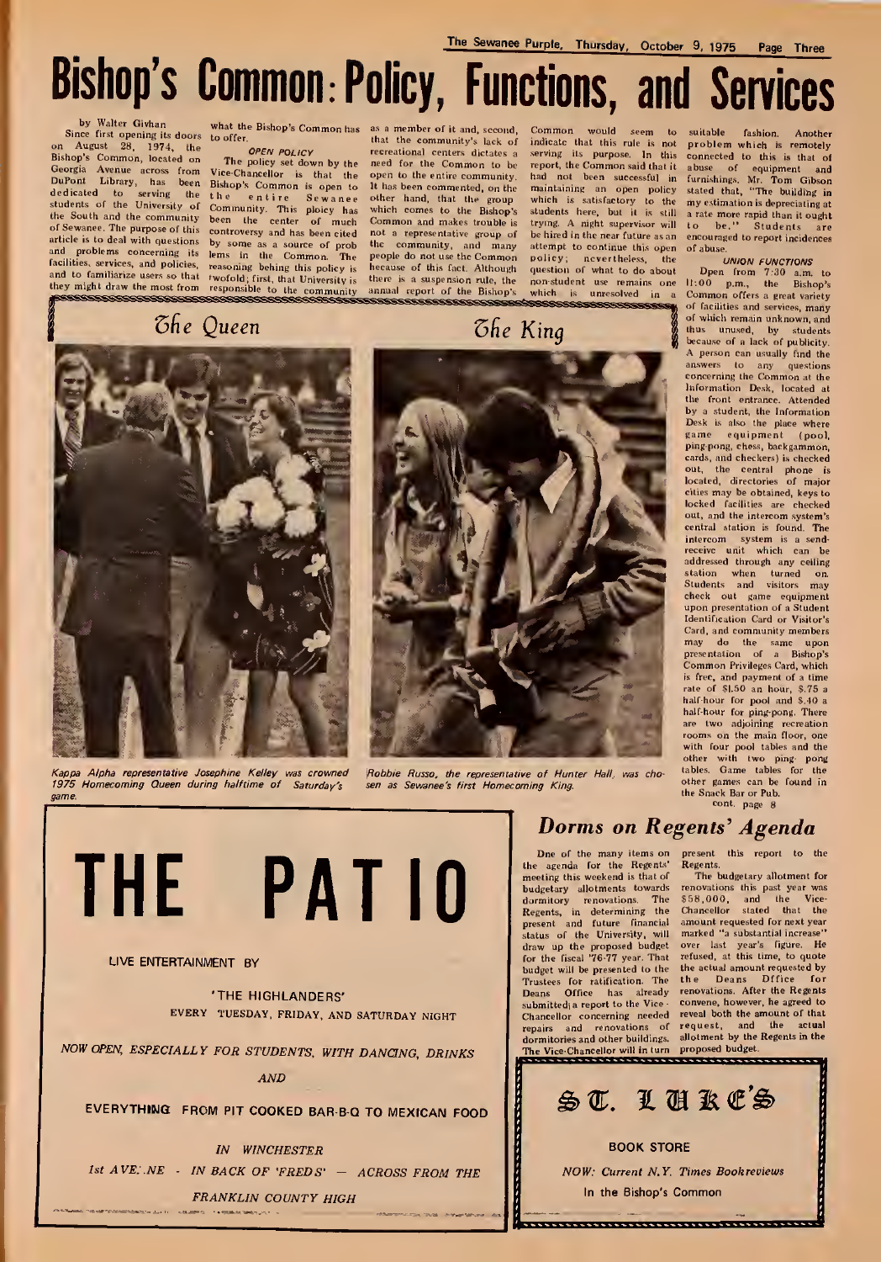Bishop's Common: Policy, Functions, and Services

### by Walter Givhan Since first opening its doors to offer. August 28, 1974, the Bishop's Common, loc Georgia Avenue across from DuPont Library, h.<br>dedicated to serv declicated to serving the<br>students of the University of the South and the community been the center and problems concerning its lems in the Common. The facilities, services, and policies, reasoning behing this policy is and to familiarize users so that rwofold; first, that University is

what the Bishop's Common has

entire Community. This ploicy has of much of Sewanee. The purpose of this controversy and has been cited article is to deal with questions by some as a source of prob they might draw the most from responsible to the community is<br>they might draw the most from responsible to the community

### *Che Queen*

as a member of it and, second, to offer, that the community's lack of<br>  $OPEN POLIVY$  recreational centers dictates a<br>
The policy set down by the need for the Common to be<br>
Vice-Chancellor is that the open to the entire community, It has been commented, on the other hand, that the group which comes to the Bishop's Common and makes trouble is not a representative group of<br>the community, and many<br>people do not use the Common<br>hecause of this fact. Although there is a suspension rule, the<br>annual report of the Bishop's aaaaa **SEREE** 

*<u>Che King</u>* 

Common would seem to suitable indicate that this rule is not problem which is remotely mattace tratt this represe. In this connected to this is remotely<br>serving its purpose. In this connected to this is that of<br>report, the Commons aid that it abuse of equipment and<br>had not been successful in furnishings. Mr. which is satisfactory to the my estimation is depreciating at students here, but it is still a rate more rapid than it ought<br>students here, but it is still a rate more rapid than it ought<br>trying. A night supervisor will to be hired in the near future as an encouraged to report incidences attempt to continue this open of abuse policy; nevertheless, the question of what to do about non-student use remains one which is unresolved in a

#### **UNION FUNCTIONS**

Den from 7:30 a.m. to<br>11:00 p.m., the Bishop's Common offers a great variety of facilities and services, many of which remain unknown, and thus unused, by students<br>because of a lack of publicity. A person can usually find the answers to any questions<br>concerning the Common at the Information Desk, located at the front entrance. Attended by a student, the Information<br>Desk is also the place where<br>game equipment (pool. ping-pong, chess, backgammon, cards, and checkers) is checked out, the central phone is<br>located, directories of major cities may be obtained, keys to locked facilities are checked out, and the intercom system's central station is found. The intercom system is a send receive unit which can be addressed through any ceiling station when turned on.<br>Students and visitors may check out game equipment<br>upon presentation of a Student dentification Card or Visitor's Card, and community members may do the same upon<br>presentation of a Bishop's Common Privileges Card, which is free, and payment of a time<br>rate of \$1.50 an hour. \$.75 a half-hour for pool and \$.40 a half-hour for ping-pong. There are two adjoining recreation rooms on the main floor, one<br>with four pool tables and the other with two ping pong<br>tables. Game tables for the other games can be found in the Snack Bar or Pub.<br>cont. page 8



Kappa Alpha representative Josephine Kelley was crowned Robbie Russo, the representative of Hunter Hall, wa<br>1975 Homecoming Queen during halftime of Saturday's sen as Sewanee's first Homecoming King.

THE PATIO

### LIVE ENTERTAINMENT BY

'THE HIGHLANDERS' EVERY TUESDAY, FRIDAY, AND SATURDAY NIGHT

NOW OPEN, ESPECIALLY FOR STUDENTS, WITH DANCING, DRINKS

AND

EVERYTHING FROM PIT COOKED BAR-B-Q TO MEXICAN FOOD

IN WINCHESTER 1st  $AVE:NE$  - IN BACK OF 'FREDS' - ACROSS FROM THE

FRANKLIN COUNTY HIGH

### Dorms on Regents' Agenda

One of the many items on the agenda for the Regents' meeting this weekend isthat of budgetary allotments towards dormitory renovations. The \$5<br>Regents, in determining the Ch<br>present and future financial am<br>status of the University, will ma draw up the proposed budget for the fiscal '76-77 year. That budget will be presented to the the actual amount requested by<br>budget will be presented to the the Deans. Diffice for Trustees for ratification. The the Deans Dffice for<br>Deans Office has already renovations. After the Regents Deans Office has already re<br>submitted(a report to the Vice co Summer a report to the vice-<br>Chancellor concerning needed reveal both the amount of that<br>repairs and renovations of request, and the actual repairs repairs and renovations of request, and the actual<br>dormitories and other buildings. allotment by the Regents in the The Vice-Chancellor will in turn proposed budget

present this report to<br>Regents. gents.<br>The budgetary allotment for

renovations this past year was<br>\$58,000, and the Vice-<br>Chancellor stated that the amount requested for next year<br>marked "a substantial increase" over last year's figure. He refused, at this time, to quote Deans Dffice for

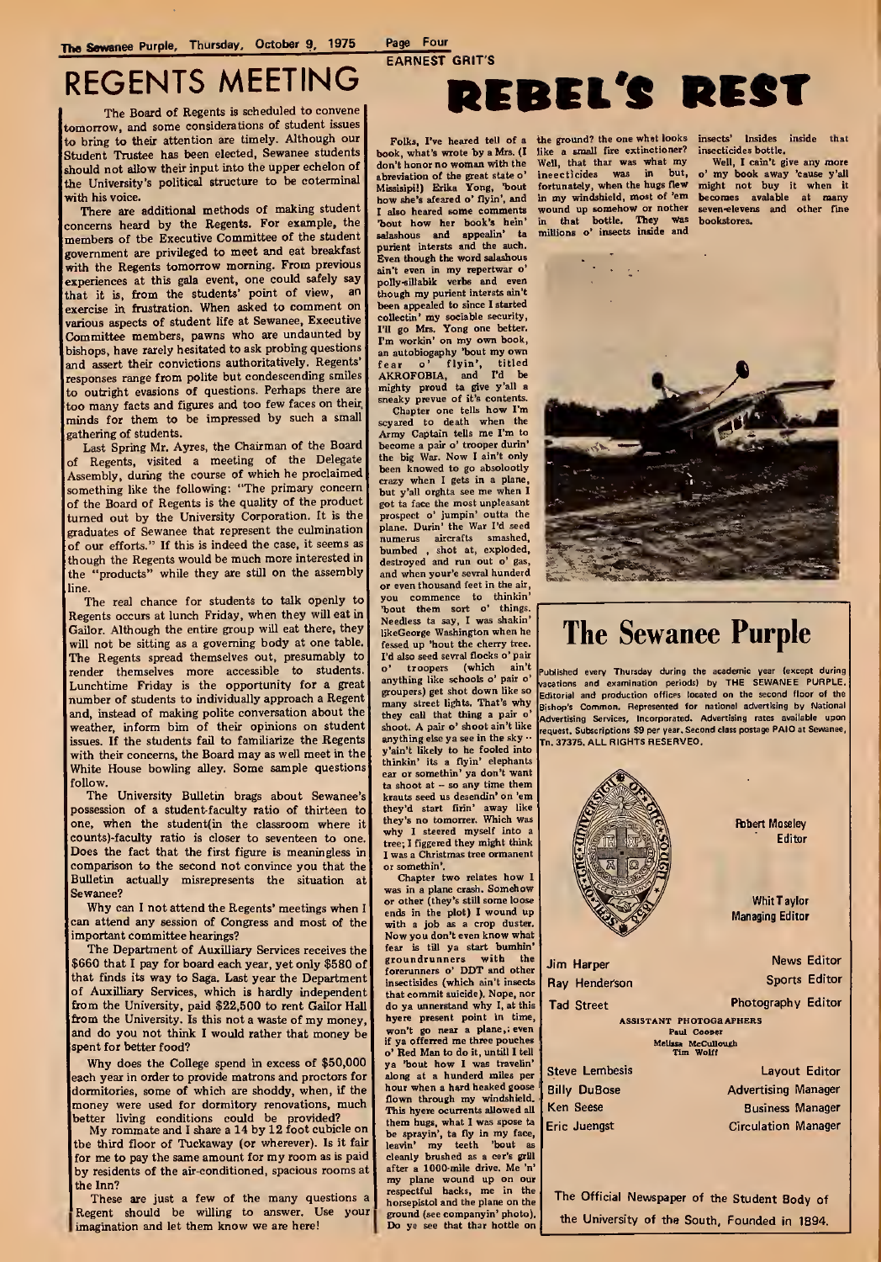### REGENTS MEETING

The Board of Regents is scheduled to convene tomorrow, and some considerations of student issues to bring to their attention are timely. Although our Folks, I've heared tell of a Student Trustee has been elected, Sewanee students book, what's wrote by a Mrs. (I Student Trustee has been elected, Sewanee students book, what's wrote by a Mrs. (I should not allow their input into the upper echelon of don't honor no woman with the should not allow their input into the upper echelon of  $\int$  don't honor no woman with the the University's political structure to be coterminal with his voice.

There are additional methods of making student concerns heard by the Regents. For example, the members of the Executive Committee of the student government are privileged to meet and eat breakfast with the Regents tomorrow morning. From previous experiences at this gala event, one could safely say  $\begin{bmatrix} p \end{bmatrix}$  or that it is, from the students' point of view, and the exercise in frustration. When asked to comment on various aspects of student life at Sewanee, Executive Committee members, pawns who are undaunted by bishops, have rarely hesitated to ask probing questions and assert their convictions authoritatively. Regents' responses range from polite but condescending smiles to outright evasions of questions. Perhaps there are too many facts and figures and too few faces on their, minds for them to be impressed by such a small gathering of students.

Last Spring Mr. Ayres, the Chairman of the Board of Regents, visited a meeting of the Delegate Assembly, during the course of which he proclaimed something like the following: "The primary concern of the Board of Regents is the quality of the product turned out by the University Corporation. It is the graduates of Sewanee that represent the culmination of our efforts." If this is indeed the case, it seems as though the Regents would be much more interested in<br>the "products" while they are still on the assembly "products" while they are still on the assembly line.

The real chance for students to talk openly to Regents occurs at lunch Friday, when they will eat in Gailor. Although the entire group will eat there, they will not be sitting as a governing body at one table. The Regents spread themselves out, presumably to I'<br>render themselves more accessible to students. Lunchtime Friday is the opportunity for a great number of students to individually approach a Regent and, instead of making polite conversation about the weather, inform bim of their opinions on student issues. If the students fail to familiarize the Regents with their concerns, the Board may as well meet in the White House bowling alley. Some sample questions follow.

The University Bulletin brags about Sewanee's possession of a student-faculty ratio of thirteen to when the student(in the classroom where it counts)-faculty ratio is closer to seventeen to one. Does the fact that the first figure is meaningless in comparison to the second not convince you that the Bulletin actually misrepresents the situation at Sewanee?

Why can <sup>I</sup>not attend the Regents' meetings when <sup>I</sup> can attend any session of Congress and most of the important committee hearings?

The Department of Auxilliary Services receives the \$660 that <sup>I</sup> pay for board each year, yet only \$580 of that finds its way to Saga. Last year the Department of Auxilliary Services, which is hardly independent from the University, paid \$22,500 to rent Gailor Hall from the University. Is this not <sup>a</sup> waste of my money, and do you not think <sup>I</sup> would rather that money be spent for better food?

Why does the College spend in excess of \$50,000 ach year in order to provide matrons and proctors for dormitories, some of which are shoddy, when, if the money were used for dormitory renovations, much<br>better living conditions could be provided?<br>My rommate and I share a 14 by 12 foot cubicle on

the third floor of Tuckaway (or wherever). Is it fair for me to pay the same amount for my room as is paid by residents of the air-conditioned, spacious rooms at the Inn?

These are just a few of the many questions a Regent should be willing to answer. Use your imagination and let them know we are here!

# REBEL'S REST

Missisipi!) Erika Yong, 'bout also heared some comments "bout how her book's bein' salashous and appealin' ta m<br>purient intersts and the such. Even though the word salashous ain't even in my repertwar o' polly-sillabik verbs and even though my purient intersts ain't<br>been appealed to since I started<br>collectin' my sociable security, I'll go Mrs. Yong one better. I'm workin' on my own book, an autobiogaphy 'bout my own fear o' flyin', titled AKROFOBIA, and I'd be mighty proud ta give y'all a

sneaky prevue of it's contents.<br>Chapter one tells how I'm<br>scyared to death when the Army Captain tells me I'm to become a pair o' trooper durin' the big War. Now I ain't only been knowed to go absolootly crazy when I gets in a plane but y'all orghta see me when <sup>I</sup> got ta face the most unpleasant prospect o' jumpin' outta the plane. Durin' the War I'd seed numerus aircrafts smashed, bumbed , shot at, exploded, destroyed and run out o' gas, and when your'e sevral hunderd or even thousand feet in the air, you commence to thinkin' 'bout them sort o' things. Needless ta say, <sup>I</sup> was shakin' likeGeorge Washington when he fessed up 'hout the cherry tree. I'd also seed sevral flocks o' pair o' troopers (which ain't <sub>Pu</sub><br>anything like schools o' pair o' groupers) get shot down like so many street lights. That's why they call that thing a pair o' shoot. A pair o' shoot ain't like anything else ya see in the sky - y'ain't likely to be fooled into thinkin' its a flyin' elephants ear or somethin' ya don't want  $ta$  shoot at  $-$  so any time them krauts seed us desendin' on 'em they'd start firin' away like they's no tomorrer. Which was why <sup>I</sup>steered myself into <sup>a</sup> tree: I figgered they might think <sup>I</sup> was <sup>a</sup> Christmas tree ormanent or somethin'.

Chapter two relates how I was in a plane crash. Somehow or other (they's still some loose ends in the plot) <sup>I</sup> wound up with a job as a crop duster. Now you don't even know what fear is till ya start bumbin' groundrunners with the Ji<br>forerunners o' DDT and other insectisides (which ain't insects that commit suicide). Nope, nor do ya unnerstand why I, at this hyere present point in time, won't go near a plane,; even if ya offerred me three pouches o' Red Man to do it, until! <sup>I</sup> tell ya 'bout how I was travelin' Si hour when a hard heaked goose flown through my windshield. This hyere ocurrents allowed all them bugs, what I was spose ta  $\vert$  E<br>be sprayin', ta fly in my face, leavin' my teeth 'bout as cleanly brushed as a cer's grill after a 1000-mile drive. Me 'n' my plane wound up on our respectful backs, me in the horsepistol and the plane on the ground (see companyin' photo). Do ye see that thar hottle on

the ground? the one what looks insects' Insides inside that like a small fire extinctioner? insecticides bottle. book, what's wrote by a Mrs. (I like a small fire extinctioner? insecticides bottle,<br>don't honor no woman with the Well, that thar was what my Well, I cain't give any more abreviation of the great state o' insecticides was in but, o' my book away 'cause y'all fortunately, when the bugs flew<br>in my windshield, most of 'em in that bottle. They was bookstores, millions o' insects inside and

windshield, most of 'em becomes avalable at many wound up somehow or nother seven -elevens and other fine



## The Sewanee Purple

Published every Thursday during the academic year (except during last the second of the second of the second o<br>vacations and examination periods) by THE SEWANEE PURPLE. Editorial and production offices located on the second floor of the Bishop's Common. Represented for national advertising by National ising Services, Incorporated. Advertising rates available upon t. Subscriptions \$9 per year. Second class postage PAID at Sewanee, Tn. 37375. ALL RIGHTS RESERVED.



EARNEST GRIT'S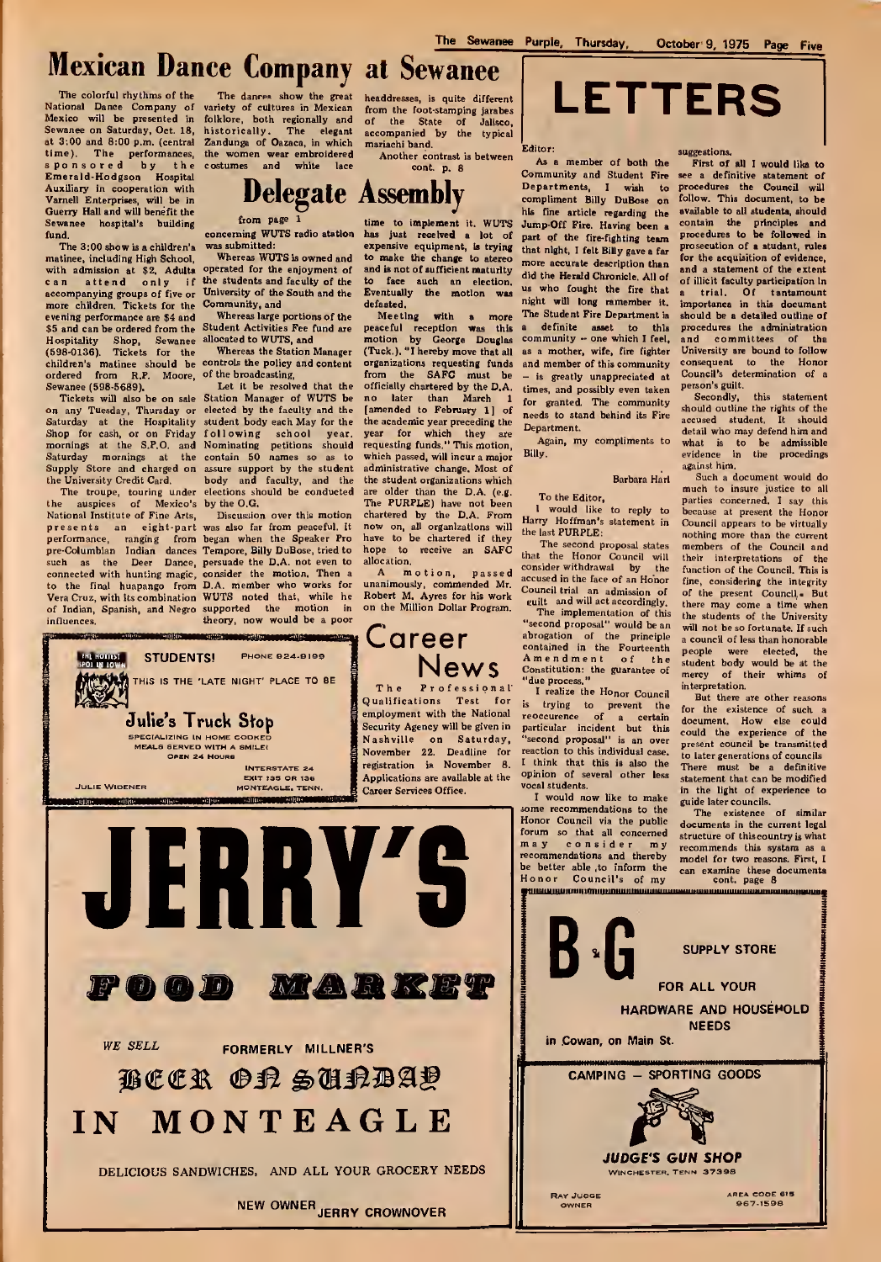## Mexican Dance Company at Sewanee

The colorful rhythms of the National Dance Company of Mexico will be presented in Sewanee on Saturday, Oct. 18, hist<br>at 3:00 and 8:00 p.m. (central Zane<br>time). The performances, the<br>sponsored by the cost Emerald-Hodgson Hospital Auxiliary in cooperation with Varnell Enterprises, will be in Guerry Hall and will benefit the Sewanee hospital's building<br>fund.

The 3:00 show is a children's matinee, including High School, with admission at \$2. Adults can attend only if accompanying groups of five or more children. Tickets for the evening performance are \$4 and \$5 and can be ordered from the Hospitality Shop, Sewanee (598-0136). Tickets for the children's matinee should be controls the policy and content or<br>ordered from R.P. Moore, of the broadcasting, from the Sewanee (598-5689).

Tickets will also be on sale on any Tuesday, Thursday or ele-<br>Saturday at the Hospitality stu Shop for cash, or on Friday mornings at the S.P.O. and Saturday mornings at the con<br>Supply Store and charged on assu the University Credit Card.

National Institute of Fine Arts, Discussion over this motion<br>presents an eight-part was also far from peaceful. It presents an eight-part was<br>pre-Columbian Indian dances Ten<br>such as the Deer Dance, pers<br>connected with hunting magic, con<br>to the final huapango from D.A.<br>Vera Cruz, with its combination WU of Indian, Spanish, and Negro influences

**Hollywood** 

The dances show the great variety of cultures in Mexican folklore, both regionally and historically. The elegant act<br>Zandunga of Oazaca, in which ma the women wear embroidered<br>costumes and white lace

from page concerning WUTS radio station

was submitted:

Whereas WUTS is owned and operated for the enjoyment of the students and faculty of the University of the South and the Eventuall<br>Community, and defaated, Community, and

Whereas large portions of the Student Activities Fee fund are allocated to WUTS, and

Whereas the Station Manager

The troupe, touring under elections should be conducted are<br>the auspices of Mexico's by the O.G. The Let it be resolved that the Station Manager of WUTS be elected by the faculty and the student body each May for the the act<br>following school vear year following school year. and Nominating petitions should<br>the contain 50 names so as to assure support by the student ad.<br>body and faculty, and the the

> was also far from peaceful. It how peaker Pro Tempore, Billy DuBose, tried to homograde the D.A. not even to consider the motion. Then a D.A. member who works for under the motion in the supported the motion in one supported the motion in

> > INTERSTATE 24

STUDENTS! PHONE 924-9199 THIS IS THE "LATE NIGHT' PLACE TO BE

Julie's Truck Stop

MEALS SERVED WITH A SMILE! OPEN 24 HOURS

headdresses, is quite different<br>from the foot-stamping jarabes<br>accompanied by the typical<br>mariachi band.

Another contrast is between<br>cont. p. 8

time to implement it. WUTS Jump-Off Fire. Having been a collar just received a lot of part of the fire-fighting team prospersive equipment, is trying that night, I felt Billy gave a far expensive equipment, is trying that night, I felt Billy gave a far<br>to make the change to stereo and is not of sufficient maturity to face auch an election. The Eventually the motion was

defaated. **Meeting with a more The**<br>
peaceful reception was this a<br>
motion by George Douglas com<br>
(Tuck.). "I hereby move that all as a organizations requesting funds from the SAFC must be -<br>officially chartered by the D.A. time no later than March <sup>1</sup> [amended to February 1] of the academic year preceding the year for which they are requesting funds." This motion, which passed, will incur a major administrative change. Most of the student organizations which are older than the D.A. (e.g.<br>The PURPLE) have not been<br>chartered by the D.A. From  $_{11}$ now on, all organizations will the have to be chartered if they hope to receive an SAFC allocation.

motion, passed unanimously, commended Mr. according the Corolland Robert M. Ayres for his work Corolland Corolland Corolland<br>on the Million Dollar Program.



The Sewanee Purple, Thursday, October 9, 1975 Page Five

Editor:

Delegate Assembly **Department** Bil As <sup>a</sup> member of both the Community and Student Fire<br>Departments I wish to Departments, I wish to pro<br>compliment Billy DuBose on foll his fine article regarding the more accurate description than did the Herald Chronicle. All of us who fought the fire that night wfll long remember it. The Student Fire Department is a definite asset to this p<br>community - one which I feel, a as a mother, wife, fire fighter and member of this community - is greatly unappreciated at times, and possibly even taken for granted. The community needs to stand behind its Fire Department.

Again, my compliments to Billy.

### Barbara Harl

To the Editor, would like to reply to Harry Hoffman's statement in

the last PURPLE: The second proposal states that the Honor Council will the<br>consider\_withdrawal by the ful<br>accused\_in\_the\_face\_of\_an\_Honor\_\_\_\_fin Council trial an admission of o<br>euilt and will act accordingly, the<br>The implementation of this the

**Career** abrogation of the contained in the Amendment of the Fourteenth Amendment of the studies contained the process,"<br>
The Professional due process," realize the Honor Council inte "second proposal" would be an abrogation of the principle<br>contained in the Fourteenth

is trying to prevent the f<sub>o</sub><br>reoccurence of a certain <sub>de</sub> particular incident but this "second proposal" is an over reaction to this individual case. I think that this is also the  $\frac{1}{10}$ vocal students.

<sup>I</sup> would now like to make ome recommendations to the Honor Council via the public documents in the current legal forum so that all concerned may consider my recommendations and thereby<br>be better able , to inform the

prosecution of a student, rules for the acquisition of evidence, and a statement of the extent of illicit faculty participation in<br>a trial. Of tantamount importance in this document should be a detailed outline of procedures the administration<br>and committees of the and committees of the University are bound to follow consequent to the Honor Council's determination of a person's guilt.

First of all I would like to<br>see a definitive statement of<br>procedures the Council will follow. This document, to be available to all students, should contain the principles and procedures to be followed in

Secondly, this statement should outline the rights of the accused student. It should detail who may defend him and what is to be admissible evidence in the procedings

Such a document would do much to insure justice to all parties concerned. <sup>I</sup> say this because at present the Honor Council appears to be virtually nothing more than the current<br>members of the Council and their interpretations of the<br>function of the Council. This is fine, considering the integrity<br>of the present Council,- But there may come <sup>a</sup> time when the students of the University will not be so fortunate. If such <sup>a</sup> council of less than honorable people were elected, the<br>student body would be at the<br>mercy of their whims of interpretation.

But there are other reasons for the existence of such a document. How else could could the experience of the present council be transmitted to later generations of councils There must be a definitive statement that can be modified in the light of experience to guide later councils.

The existence of similar structure of this country is what recommends this system as a model for two reasons. First, <sup>I</sup>

[ Qualifications Test for employment with the National Security Agency will be given in Nashville on Saturday, November 22. Deadline for registration is November 8. Applications are available at the







suggestions.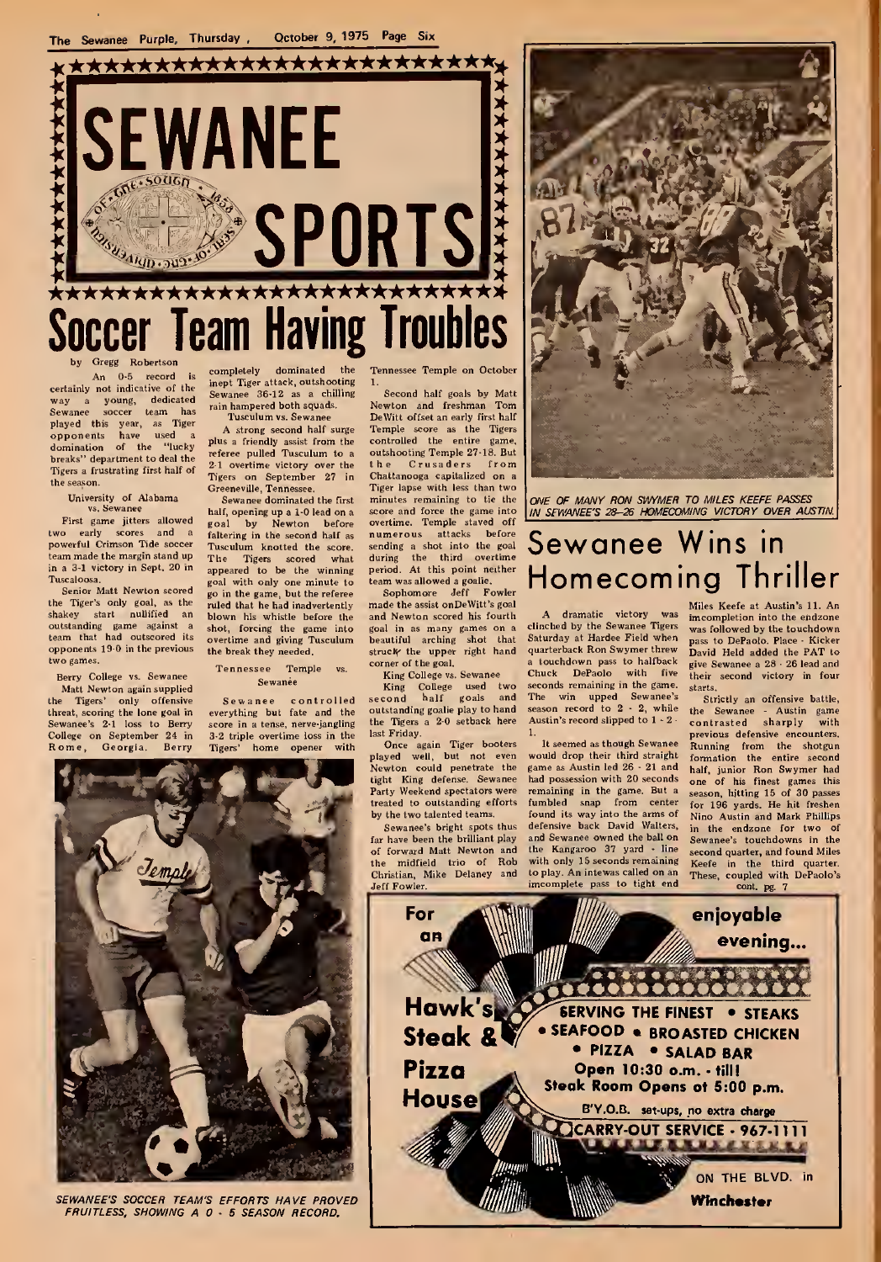

An 0-5 record is certainly not indicative of the way <sup>a</sup> young, dedicated Sewanee soccer team has '"<br>played this year, as Tiger<br>opponents have used a<br>domination of the "lucky <sup>pl</sup> breaks" department to deal the Tigers a frustrating first half of<br>the season.

University of Alabama

First game jitters allowed two early scores and a powerful Crimson Tide soccer team made the margin stand up in a 3-1 victory in Sept. 20 in

Tuscaloosa.<br>Senior Matt Newton scored the Tiger's only goal, as the <sub>ru</sub><br>shakey start nullified an <sub>bl</sub> outstanding game against a .<br>team that had outscored its opponents  $19.0$  in the previous  $\mu$ two games.

Berry College vs. Sewanee Matt Newton again sup<br>the Tigers' only offe threat, scoring the lone goal in<br>Sewance's 2-1 loss to Berry ance's 2-1 loss to College on September 24 in

inept Tiger attack, outshooting 1<br>Sewanee 36-12 as a chilling rain hampered both squads. Tusculum vs. Sewanee

A strong second half surge plus a friendly assist from the referee pulled Tusculum to a 2.1 overtime victory over the the Crusaders from<br>Tigers on September 27 in Chattanooga capitalized on a<br>Greeneville, Tennessee. Tiger lapse with less than two Greeneville, Tennessee

half, opening up a 1–0 lead on a se<br>goal by Newton before o faltering in the second half as Tusculum knotted the score. The Tigers scored what appeared to be the winning goal with only one minute to t<br>go in the game, but the referee ruled that be bad inadvertently blown his whistle before the shot, forcing the game into overtime and giving Tusculum the break they needed.

Tennessee Temple<br>Sewanée

controlled Sewanee everything but fate and the<br>score in a tense, nerve-jangling 3-2 triple overtime loss in the Tigers' home opener with

completely dominated the Tennessee-Temple on October

Second half goals by Matt Newton and freshman Tom DeWitt offset an early first half Temple score as the Tigers controlled the outshooting Temple 27-18. Bu  $th<sub>e</sub>$ Sewanee dominated the first minutes remaining to tie the numerous attacks before sending a shot into the goal iring the third overtime iriod. At this point neither team was allowed a goalie.

Sophomore Jeff Fowler<br>1ade the assist onDeWitt's goal and Newton scored his fourth struck the upper right hand beautiful arching shot that struck the upper right hand corner of the goal,

King College vs. Sewanee King College used two second half goals and

outstanding goalie play to hand the Tigers <sup>a</sup> 2-0 setback here last Friday. Once again Tiger booters<br>played well, but not even we<br>Newton could penetrate the ga

tight King defense. Sewanee Party Weekend spectators were treated to outstanding efforts by the two talented teams.

Sewanee's bright spots thus far have been the brilliant play of forward Matt Newton and the midfield trio of Rob Christian, Mike Delaney and Jeff Fowler,

minutes remaining to tie the ONE OF MANY RON SWYMER TO MILES KEEFE PASSES socre and force the game into  $\frac{1}{100}$  SEWANEE'S 28-26 HOMECOMING VICTORY OVER AUSTIN.

# overtime. Temple staved off the animated as a stack in the sending a stack into the goal  $\overline{\text{Sewance}}$  Wins in that before Sewanee Wins in<br>his order one coming Thriller<br>*A POINT MONE COMING Thriller*<br>A POINTLY SEAL AND MONE NEWS TO MULTIMATE ONE ONE OF A ANSIDA LL AD

A dramatic victory was imc<br>clinched by the Sewanee Tigers was<br>Saturday at Hardee Field when quarterback Ron Swymer threw a touchdown pass to halfback<br>Chuck DePaolo with five DePaolo with five seconds remaining in the game. starts The win upped Sewanee's<br>season record to 2 - 2, while the Austin's record slipped to  $1 - 2$ 

would drop their third straight game as Austin led 26 - 21 and had possession with 20 seconds remaining in the game. But a fumbled snap from center fo<br>found its way into the arms of Ni defensive back David Walters, and Sewanee owned the ball on the Kangaroo 37 yard - line with only 15 seconds remaining to play. An intewas called on an imcomplete pass to tight end

Miles Keefe at Austin's 11. An imcompletion into the ehdzone was followed by the touchdown pass to DePaolo. Place - Kicker David Held added the PAT to give Sewanee a 28 - 26 lead and their second victory in four

It seemed as though Sewanee Running from the shotgun<br>auld drop their third straight formation the entire second Strictly an offensive battle,<br>e Sewanee - Austin game the Sewanee - Austin game contrasted sharply with previous defensive encounters. of his finest games this<br>n. hitting 15 of 30 passes for 196 yards. He hit freshen Nino Austin and Mark Phillips in the endzone for two of<br>Sewanee's touchdowns in the second quarter, and found Miles Keefe in the third quarter. These, coupled with DePaolo's



SEWANEE'S SOCCER TEAM'S EFFORTS HAVE PROVED FRUITLESS, SHOWING A 0 - 5 SEASON RECORD.

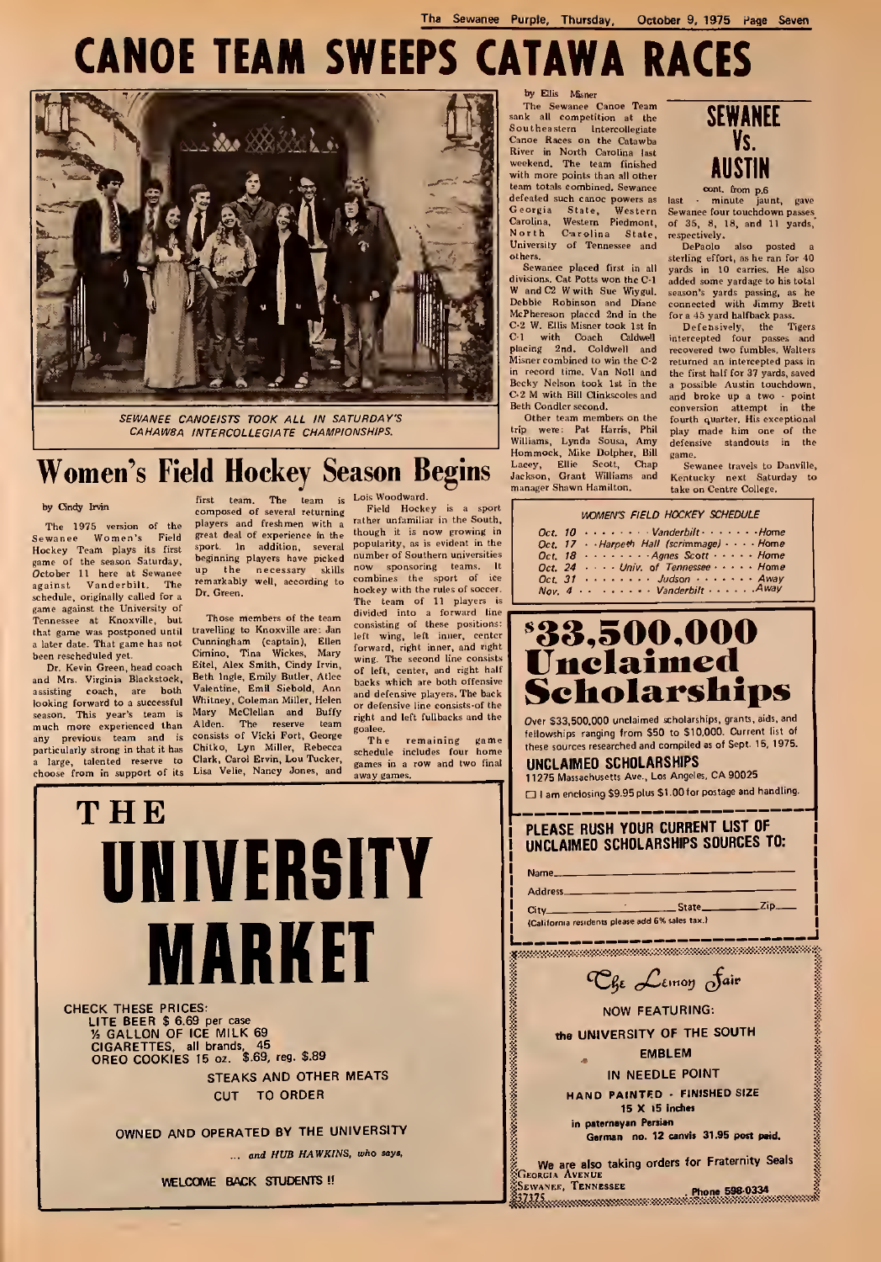The Sewanee Purple, Thursday, October 9, 1975 Page Seven

# CANOE TEAM SWEEPS CATAWA RACES



SEWANEE CANOEISTS TOOK ALL IN SATURDAY'S CAHAWBA INTERCOLLEGIATE CHAMPIONSHIPS.

# Women's Field Hockey Season Begins **MacRey, Ellie Scott**,

#### by Cindy Irvin

The 1975 version of the P<sup>12</sup><br>Hockey Team plays its first game<br>Hockey Team plays its first game<br>game of the season Saturday, <sup>De</sup>l<br>*Oct*ober 11 here at Sewanee<sup>up</sup> against Vanderbilt. The <sup>ren</sup><br>schedule, originally called for a <sup>Dr.</sup> game against the University of<br>Tennessee at Knoxville, but<br>that game was postponed until tra<br>a later date. That game has not but<br>been rescheduled yet.

Dr. Kevin Green, head coach Eit<br>and Mrs. Virginia Blackstock, Be assisting coach, are both<br>looking forward to a successful<br>season. This year's team is looking forward to a successful with<br>eason. This year's team is Mi<br>much more experienced than Al<br>any previous team and is co<br>a large, talented reserve to Clicate<br>choose from in support of its Lii

first team, The team is Lois-Woodward.<br>composed of several returning Field Hockey players and freshmen with a great deal of experience in the '<br>sport. In addition, several i<br>beginning players have picked ' remarkably well, according to<br>Dr. Green.

Those members of the team<br>travelling to Knoxville are: Jan<br>Cunningham (captain), Ellen left<br>Cimino, Tina Wickes, Mary Eitel, Alex Smith, Cindy Irvin, Beth Ingle, Emily Butler, Atlee Valentine, Emit Siebotd, Ann Whitney, Coleman Miller, Helen and Buffy McClellan and Buffy rights of Vicki Fort, George Eoitho, Lyn Miller, Rebecca scheme Clark, Carol Eving Jones, and Lisa Velie, Nancy Jones, and

Field Hockey is a sport rather unfamiliar in the South, though it is now growing in popularity, as is evident in the number of Southern universities beginning players nave picked now sponsoring teams. It<br>up the necessary skills now sponsoring teams. It hockey with the rules of soccer team of 11 players is divided into a forward line<br>consisting of these positions:<br>left wing, left inner, center forward, right inner, and right wing. The second line consists of left, center, and right hair backs which are both offensive and defensive players. The back or defensive line consists-of the right and left fullbacks and the

goalee,<br>The remaining game<br>schedule includes four home<br>games in a row and two final<br>way comes

THE UNIVERSITY **MARKET** 

CHECK THESE PRICES: LITE BEER \$ 6.69 per case<br>% GALLON OF ICE MILK 69<br>CIGARETTES, all brands, 45<br>OREO COOKIES 15 oz. \$.69, reg. \$.89 STEAKS AND OTHER MEATS CUT TO ORDER

OWNED AND OPERATED BY THE UNIVERSITY

... and HUB HAWKINS, who says,

WELCOME BACK STUDENTS !!

Carolina, Western Piedmont, of North Carolina State, respectively of Tennessee and State, respectively of Tennessee and State, and State,  $\frac{1}{2}$ by Ellis Misner<br>The Sewance Canoe Team<br>sank all competition at the Southeastern Intercollegiate Canoe Races on the Catawba River in North Carolina last weekend. The team finished<br>with more points than all other<br>team totals combined. Sewanee defeated such canoe powers as<br>Georgia State, Western others,

Sewanee placed first in all ye<br>divisions. Cat Potts won the C-1 ad<br>W and C2 W with Sue Wiygul. se Debbie Robinson and Diane McPhereson placed 2nd in the C-2 W. Ellis Misner look 1st in C-l with Coach Caldwell placing 2nd. Coldwell and Misner combined to win the C-2 in record time. Van Noll and Becky Nelson took 1st in the C-2 M with Bill Clinkscoles and Beth Condler second.

Other team members on the trip were: Pat Harris, Phi<br>Williams, Lynda Sousa, Am;<br>Hommock, Mike Dolpher, Bil



cont. from p,6

Sewanee four touchdown passes of 35, 8, 18, and 11 yards,'

respectively, DePaolo also posted a sterling effort, as he ran for 40 yards in 10 carries. He also added some yardage to his total season's yards passing, as he<br>connected with Jimmy Brett for a 45 yard halfback pass

Defensively, the Tigers intercepted four passes and recovered two fumbles. Walters returned an intercepted pass in the first half for 37 yards, saved a possible Austin touchdown, and broke up <sup>a</sup> two - point conversion attempt in the fourth quarter. His exceptional play made him one of the<br>defensive standouts in the game.

Sewanee travels to Danville, Kentucky next Saturday to take on Centre College.

### WOMEN'S FIELD HOCKEY SCHEDULE  $Oct$  10  $......$   $Vanderbilt...$   $...$   $Home$ Oct. 17 - Harpeth Hall (scrimmage) - - - Home<br>Oct. 18 - - - - - - - Agnes Scott - - - - Home  $\ldots$  Agnes Scott  $\ldots$  Home Oct. 24 . . . . Univ. of Tennessee . . . . . Home Oct. 31 Judson Away Nov. 4 Vanderbilt Awa<sup>V</sup>